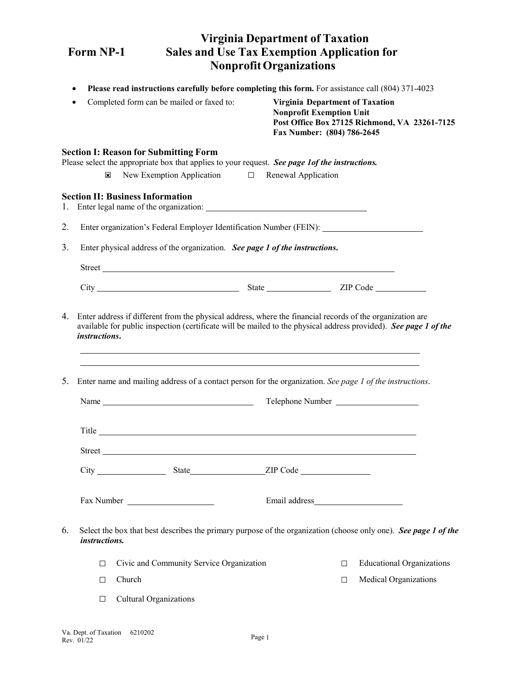|                  |                                          | <b>Virginia Department of Taxation</b>                                                                   |                                                                                                                                                       |                                                                                                                                                                                                                                                                                                                                                                                                                                                                                                                                                                                                                                                                                                                                                                                                                                                                                                                                                |
|------------------|------------------------------------------|----------------------------------------------------------------------------------------------------------|-------------------------------------------------------------------------------------------------------------------------------------------------------|------------------------------------------------------------------------------------------------------------------------------------------------------------------------------------------------------------------------------------------------------------------------------------------------------------------------------------------------------------------------------------------------------------------------------------------------------------------------------------------------------------------------------------------------------------------------------------------------------------------------------------------------------------------------------------------------------------------------------------------------------------------------------------------------------------------------------------------------------------------------------------------------------------------------------------------------|
| <b>Form NP-1</b> |                                          |                                                                                                          | <b>Sales and Use Tax Exemption Application for</b>                                                                                                    |                                                                                                                                                                                                                                                                                                                                                                                                                                                                                                                                                                                                                                                                                                                                                                                                                                                                                                                                                |
|                  |                                          | <b>Nonprofit Organizations</b>                                                                           |                                                                                                                                                       |                                                                                                                                                                                                                                                                                                                                                                                                                                                                                                                                                                                                                                                                                                                                                                                                                                                                                                                                                |
|                  |                                          |                                                                                                          |                                                                                                                                                       |                                                                                                                                                                                                                                                                                                                                                                                                                                                                                                                                                                                                                                                                                                                                                                                                                                                                                                                                                |
|                  |                                          |                                                                                                          |                                                                                                                                                       |                                                                                                                                                                                                                                                                                                                                                                                                                                                                                                                                                                                                                                                                                                                                                                                                                                                                                                                                                |
|                  |                                          |                                                                                                          |                                                                                                                                                       |                                                                                                                                                                                                                                                                                                                                                                                                                                                                                                                                                                                                                                                                                                                                                                                                                                                                                                                                                |
| ⊠                |                                          |                                                                                                          |                                                                                                                                                       |                                                                                                                                                                                                                                                                                                                                                                                                                                                                                                                                                                                                                                                                                                                                                                                                                                                                                                                                                |
|                  |                                          |                                                                                                          |                                                                                                                                                       |                                                                                                                                                                                                                                                                                                                                                                                                                                                                                                                                                                                                                                                                                                                                                                                                                                                                                                                                                |
|                  |                                          |                                                                                                          |                                                                                                                                                       |                                                                                                                                                                                                                                                                                                                                                                                                                                                                                                                                                                                                                                                                                                                                                                                                                                                                                                                                                |
|                  |                                          |                                                                                                          |                                                                                                                                                       |                                                                                                                                                                                                                                                                                                                                                                                                                                                                                                                                                                                                                                                                                                                                                                                                                                                                                                                                                |
|                  |                                          |                                                                                                          |                                                                                                                                                       |                                                                                                                                                                                                                                                                                                                                                                                                                                                                                                                                                                                                                                                                                                                                                                                                                                                                                                                                                |
|                  |                                          |                                                                                                          |                                                                                                                                                       |                                                                                                                                                                                                                                                                                                                                                                                                                                                                                                                                                                                                                                                                                                                                                                                                                                                                                                                                                |
|                  |                                          |                                                                                                          |                                                                                                                                                       |                                                                                                                                                                                                                                                                                                                                                                                                                                                                                                                                                                                                                                                                                                                                                                                                                                                                                                                                                |
|                  |                                          |                                                                                                          |                                                                                                                                                       |                                                                                                                                                                                                                                                                                                                                                                                                                                                                                                                                                                                                                                                                                                                                                                                                                                                                                                                                                |
|                  |                                          |                                                                                                          |                                                                                                                                                       |                                                                                                                                                                                                                                                                                                                                                                                                                                                                                                                                                                                                                                                                                                                                                                                                                                                                                                                                                |
|                  |                                          |                                                                                                          |                                                                                                                                                       |                                                                                                                                                                                                                                                                                                                                                                                                                                                                                                                                                                                                                                                                                                                                                                                                                                                                                                                                                |
|                  | Name                                     |                                                                                                          | Telephone Number                                                                                                                                      |                                                                                                                                                                                                                                                                                                                                                                                                                                                                                                                                                                                                                                                                                                                                                                                                                                                                                                                                                |
|                  |                                          |                                                                                                          |                                                                                                                                                       |                                                                                                                                                                                                                                                                                                                                                                                                                                                                                                                                                                                                                                                                                                                                                                                                                                                                                                                                                |
|                  |                                          |                                                                                                          |                                                                                                                                                       |                                                                                                                                                                                                                                                                                                                                                                                                                                                                                                                                                                                                                                                                                                                                                                                                                                                                                                                                                |
|                  | Street                                   |                                                                                                          |                                                                                                                                                       |                                                                                                                                                                                                                                                                                                                                                                                                                                                                                                                                                                                                                                                                                                                                                                                                                                                                                                                                                |
|                  |                                          |                                                                                                          |                                                                                                                                                       |                                                                                                                                                                                                                                                                                                                                                                                                                                                                                                                                                                                                                                                                                                                                                                                                                                                                                                                                                |
|                  |                                          |                                                                                                          |                                                                                                                                                       |                                                                                                                                                                                                                                                                                                                                                                                                                                                                                                                                                                                                                                                                                                                                                                                                                                                                                                                                                |
| instructions.    |                                          |                                                                                                          | Select the box that best describes the primary purpose of the organization (choose only one). See page 1 of the                                       |                                                                                                                                                                                                                                                                                                                                                                                                                                                                                                                                                                                                                                                                                                                                                                                                                                                                                                                                                |
| □                | Civic and Community Service Organization |                                                                                                          | <b>Educational Organizations</b><br>$\Box$                                                                                                            |                                                                                                                                                                                                                                                                                                                                                                                                                                                                                                                                                                                                                                                                                                                                                                                                                                                                                                                                                |
| П                | Church                                   |                                                                                                          | <b>Medical Organizations</b><br>$\Box$                                                                                                                |                                                                                                                                                                                                                                                                                                                                                                                                                                                                                                                                                                                                                                                                                                                                                                                                                                                                                                                                                |
|                  |                                          | <b>Section I: Reason for Submitting Form</b><br><b>Section II: Business Information</b><br>instructions. | Completed form can be mailed or faxed to:<br>Enter name and mailing address of a contact person for the organization. See page 1 of the instructions. | Please read instructions carefully before completing this form. For assistance call (804) 371-4023<br><b>Virginia Department of Taxation</b><br><b>Nonprofit Exemption Unit</b><br>Post Office Box 27125 Richmond, VA 23261-7125<br>Fax Number: (804) 786-2645<br>Please select the appropriate box that applies to your request. See page 1of the instructions.<br>New Exemption Application $\Box$ Renewal Application<br>Enter organization's Federal Employer Identification Number (FEIN): ________________________________<br>Enter physical address of the organization. See page 1 of the instructions.<br>Street<br>Enter address if different from the physical address, where the financial records of the organization are<br>available for public inspection (certificate will be mailed to the physical address provided). See page 1 of the<br>,我们也不会有一个人的人,我们也不会有一个人的人,我们也不会有一个人的人。""我们,我们也不会有一个人的人,我们也不会有一个人的人。""我们,我们也不会有一个人 |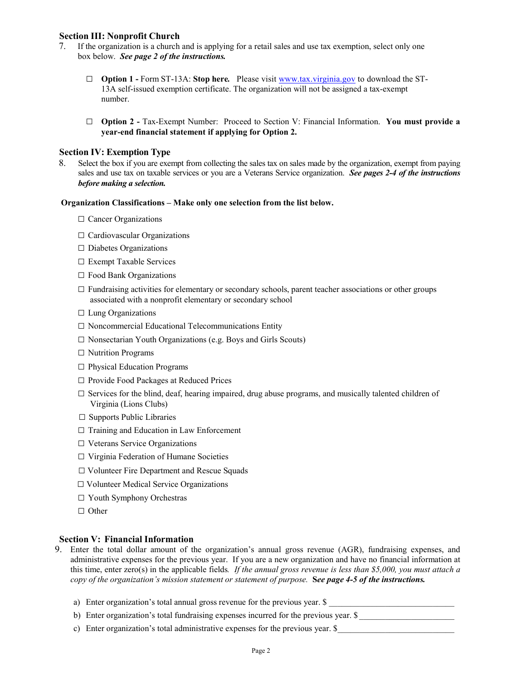### **Section III: Nonprofit Church**

- 7. If the organization is a church and is applying for a retail sales and use tax exemption, select only one box below. *See page 2 of the instructions.*
	- □ **Option 1** Form ST-13A: **Stop here***.* Please visit [www.tax.virginia.gov](http://www.tax.virginia.gov/) to download the ST-13A self-issued exemption certificate. The organization will not be assigned a tax-exempt number.
	- □ **Option 2** Tax-Exempt Number: Proceed to Section V: Financial Information. **You must provide a year-end financial statement if applying for Option 2.**

#### **Section IV: Exemption Type**

8. Select the box if you are exempt from collecting the sales tax on sales made by the organization, exempt from paying sales and use tax on taxable services or you are a Veterans Service organization. *See pages 2-4 of the instructions before making a selection.*

#### **Organization Classifications – Make only one selection from the list below.**

- □ Cancer Organizations
- □ Cardiovascular Organizations
- $\square$  Diabetes Organizations
- □ Exempt Taxable Services
- $\square$  Food Bank Organizations
- $\Box$  Fundraising activities for elementary or secondary schools, parent teacher associations or other groups associated with a nonprofit elementary or secondary school
- □ Lung Organizations
- □ Noncommercial Educational Telecommunications Entity
- □ Nonsectarian Youth Organizations (e.g. Boys and Girls Scouts)
- □ Nutrition Programs
- □ Physical Education Programs
- $\Box$  Provide Food Packages at Reduced Prices
- $\square$  Services for the blind, deaf, hearing impaired, drug abuse programs, and musically talented children of Virginia (Lions Clubs)
- $\square$  Supports Public Libraries
- $\Box$  Training and Education in Law Enforcement
- □ Veterans Service Organizations
- □ Virginia Federation of Humane Societies
- □ Volunteer Fire Department and Rescue Squads
- □ Volunteer Medical Service Organizations
- □ Youth Symphony Orchestras
- □ Other

#### **Section V: Financial Information**

- 9. Enter the total dollar amount of the organization's annual gross revenue (AGR), fundraising expenses, and administrative expenses for the previous year. If you are a new organization and have no financial information at this time, enter zero(s) in the applicable fields*. If the annual gross revenue is less than \$5,000, you must attach a copy of the organization's mission statement or statement of purpose.* **S***ee page 4-5 of the instructions.*
	- a) Enter organization's total annual gross revenue for the previous year.  $\$$
	- b) Enter organization's total fundraising expenses incurred for the previous year. \$
	- c) Enter organization's total administrative expenses for the previous year. \$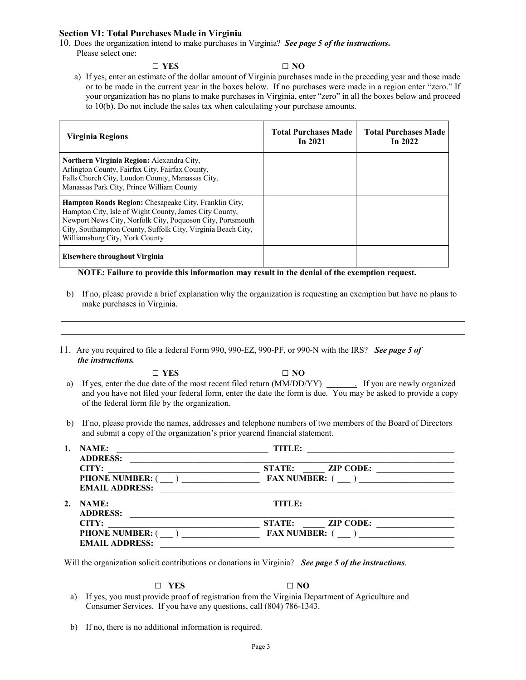### **Section VI: Total Purchases Made in Virginia**

- 10. Does the organization intend to make purchases in Virginia? *See page 5 of the instructions***.** Please select one:
	- □ **YES □ NO** a) If yes, enter an estimate of the dollar amount of Virginia purchases made in the preceding year and those made or to be made in the current year in the boxes below. If no purchases were made in a region enter "zero." If your organization has no plans to make purchases in Virginia, enter "zero" in all the boxes below and proceed to 10(b). Do not include the sales tax when calculating your purchase amounts.

| Virginia Regions                                                                                                                                                                                                                                                                       | <b>Total Purchases Made</b><br>In $2021$ | <b>Total Purchases Made</b><br>In $2022$ |
|----------------------------------------------------------------------------------------------------------------------------------------------------------------------------------------------------------------------------------------------------------------------------------------|------------------------------------------|------------------------------------------|
| Northern Virginia Region: Alexandra City,<br>Arlington County, Fairfax City, Fairfax County,<br>Falls Church City, Loudon County, Manassas City,<br>Manassas Park City, Prince William County                                                                                          |                                          |                                          |
| <b>Hampton Roads Region:</b> Chesapeake City, Franklin City,<br>Hampton City, Isle of Wight County, James City County,<br>Newport News City, Norfolk City, Poquoson City, Portsmouth<br>City, Southampton County, Suffolk City, Virginia Beach City,<br>Williamsburg City, York County |                                          |                                          |
| Elsewhere throughout Virginia                                                                                                                                                                                                                                                          |                                          |                                          |

**NOTE: Failure to provide this information may result in the denial of the exemption request.**

- b) If no, please provide a brief explanation why the organization is requesting an exemption but have no plans to make purchases in Virginia.
- 11. Are you required to file a federal Form 990, 990-EZ, 990-PF, or 990-N with the IRS? *See page 5 of the instructions.*

| $\Box$ YES                                                                                                    | $\Box$ NO |  |
|---------------------------------------------------------------------------------------------------------------|-----------|--|
| a) If yes, enter the due date of the most recent filed return (MM/DD/YY) Figure 1. If you are newly organized |           |  |
| and you have not filed your federal form, enter the date the form is due. You may be asked to provide a copy  |           |  |
| of the federal form file by the organization.                                                                 |           |  |

b) If no, please provide the names, addresses and telephone numbers of two members of the Board of Directors and submit a copy of the organization's prior yearend financial statement.

|    | <b>NAME:</b>          | <b>TITLE:</b>                     |
|----|-----------------------|-----------------------------------|
|    | <b>ADDRESS:</b>       |                                   |
|    | CITY:                 | <b>ZIP CODE:</b><br><b>STATE:</b> |
|    | <b>PHONE NUMBER:</b>  | <b>FAX NUMBER:</b>                |
|    | <b>EMAIL ADDRESS:</b> |                                   |
| 2. | <b>NAME:</b>          | TITLE:                            |
|    | <b>ADDRESS:</b>       |                                   |
|    | CITY:                 | <b>STATE:</b><br><b>ZIP CODE:</b> |
|    | <b>PHONE NUMBER:</b>  | <b>FAX NUMBER:</b>                |
|    | <b>EMAIL ADDRESS:</b> |                                   |

Will the organization solicit contributions or donations in Virginia? *See page 5 of the instructions*.

# **□ YES □ NO**

- a) If yes, you must provide proof of registration from the Virginia Department of Agriculture and Consumer Services. If you have any questions, call (804) 786-1343.
- b) If no, there is no additional information is required.